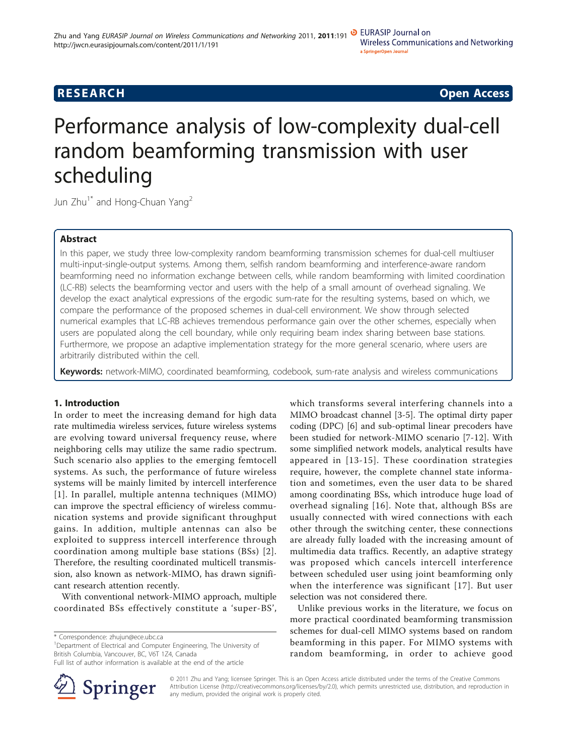# **RESEARCH CONSTRUCTION CONSTRUCTS**

# Performance analysis of low-complexity dual-cell random beamforming transmission with user scheduling

Jun Zhu<sup>1\*</sup> and Hong-Chuan Yang<sup>2</sup>

## Abstract

In this paper, we study three low-complexity random beamforming transmission schemes for dual-cell multiuser multi-input-single-output systems. Among them, selfish random beamforming and interference-aware random beamforming need no information exchange between cells, while random beamforming with limited coordination (LC-RB) selects the beamforming vector and users with the help of a small amount of overhead signaling. We develop the exact analytical expressions of the ergodic sum-rate for the resulting systems, based on which, we compare the performance of the proposed schemes in dual-cell environment. We show through selected numerical examples that LC-RB achieves tremendous performance gain over the other schemes, especially when users are populated along the cell boundary, while only requiring beam index sharing between base stations. Furthermore, we propose an adaptive implementation strategy for the more general scenario, where users are arbitrarily distributed within the cell.

**Keywords:** network-MIMO, coordinated beamforming, codebook, sum-rate analysis and wireless communications

## 1. Introduction

In order to meet the increasing demand for high data rate multimedia wireless services, future wireless systems are evolving toward universal frequency reuse, where neighboring cells may utilize the same radio spectrum. Such scenario also applies to the emerging femtocell systems. As such, the performance of future wireless systems will be mainly limited by intercell interference [[1](#page-10-0)]. In parallel, multiple antenna techniques (MIMO) can improve the spectral efficiency of wireless communication systems and provide significant throughput gains. In addition, multiple antennas can also be exploited to suppress intercell interference through coordination among multiple base stations (BSs) [[2\]](#page-10-0). Therefore, the resulting coordinated multicell transmission, also known as network-MIMO, has drawn significant research attention recently.

With conventional network-MIMO approach, multiple coordinated BSs effectively constitute a 'super-BS',

\* Correspondence: [zhujun@ece.ubc.ca](mailto:zhujun@ece.ubc.ca)

<sup>1</sup>Department of Electrical and Computer Engineering, The University of British Columbia, Vancouver, BC, V6T 1Z4, Canada

Full list of author information is available at the end of the article



which transforms several interfering channels into a MIMO broadcast channel [[3-5](#page-10-0)]. The optimal dirty paper coding (DPC) [[6\]](#page-10-0) and sub-optimal linear precoders have been studied for network-MIMO scenario [[7-12](#page-10-0)]. With some simplified network models, analytical results have appeared in [[13-15](#page-10-0)]. These coordination strategies require, however, the complete channel state information and sometimes, even the user data to be shared among coordinating BSs, which introduce huge load of overhead signaling [[16](#page-10-0)]. Note that, although BSs are usually connected with wired connections with each other through the switching center, these connections are already fully loaded with the increasing amount of multimedia data traffics. Recently, an adaptive strategy was proposed which cancels intercell interference between scheduled user using joint beamforming only when the interference was significant [[17](#page-10-0)]. But user selection was not considered there.

Unlike previous works in the literature, we focus on more practical coordinated beamforming transmission schemes for dual-cell MIMO systems based on random beamforming in this paper. For MIMO systems with random beamforming, in order to achieve good

© 2011 Zhu and Yang; licensee Springer. This is an Open Access article distributed under the terms of the Creative Commons Attribution License [\(http://creativecommons.org/licenses/by/2.0](http://creativecommons.org/licenses/by/2.0)), which permits unrestricted use, distribution, and reproduction in any medium, provided the original work is properly cited.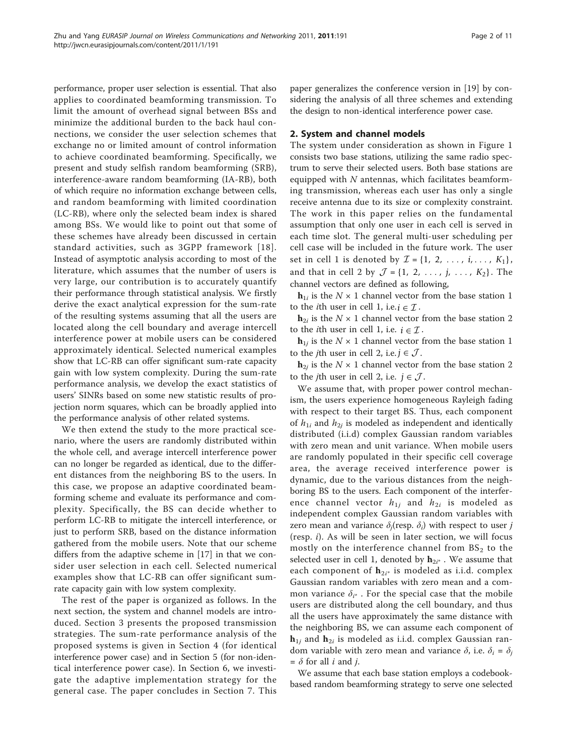performance, proper user selection is essential. That also applies to coordinated beamforming transmission. To limit the amount of overhead signal between BSs and minimize the additional burden to the back haul connections, we consider the user selection schemes that exchange no or limited amount of control information to achieve coordinated beamforming. Specifically, we present and study selfish random beamforming (SRB), interference-aware random beamforming (IA-RB), both of which require no information exchange between cells, and random beamforming with limited coordination (LC-RB), where only the selected beam index is shared among BSs. We would like to point out that some of these schemes have already been discussed in certain standard activities, such as 3GPP framework [[18\]](#page-10-0). Instead of asymptotic analysis according to most of the literature, which assumes that the number of users is very large, our contribution is to accurately quantify their performance through statistical analysis. We firstly derive the exact analytical expression for the sum-rate of the resulting systems assuming that all the users are located along the cell boundary and average intercell interference power at mobile users can be considered approximately identical. Selected numerical examples show that LC-RB can offer significant sum-rate capacity gain with low system complexity. During the sum-rate performance analysis, we develop the exact statistics of users' SINRs based on some new statistic results of projection norm squares, which can be broadly applied into the performance analysis of other related systems.

We then extend the study to the more practical scenario, where the users are randomly distributed within the whole cell, and average intercell interference power can no longer be regarded as identical, due to the different distances from the neighboring BS to the users. In this case, we propose an adaptive coordinated beamforming scheme and evaluate its performance and complexity. Specifically, the BS can decide whether to perform LC-RB to mitigate the intercell interference, or just to perform SRB, based on the distance information gathered from the mobile users. Note that our scheme differs from the adaptive scheme in [\[17](#page-10-0)] in that we consider user selection in each cell. Selected numerical examples show that LC-RB can offer significant sumrate capacity gain with low system complexity.

The rest of the paper is organized as follows. In the next section, the system and channel models are introduced. Section 3 presents the proposed transmission strategies. The sum-rate performance analysis of the proposed systems is given in Section 4 (for identical interference power case) and in Section 5 (for non-identical interference power case). In Section 6, we investigate the adaptive implementation strategy for the general case. The paper concludes in Section 7. This paper generalizes the conference version in [[19\]](#page-10-0) by considering the analysis of all three schemes and extending the design to non-identical interference power case.

### 2. System and channel models

The system under consideration as shown in Figure [1](#page-2-0) consists two base stations, utilizing the same radio spectrum to serve their selected users. Both base stations are equipped with  $N$  antennas, which facilitates beamforming transmission, whereas each user has only a single receive antenna due to its size or complexity constraint. The work in this paper relies on the fundamental assumption that only one user in each cell is served in each time slot. The general multi-user scheduling per cell case will be included in the future work. The user set in cell 1 is denoted by  $\mathcal{I} = \{1, 2, ..., i, ..., K_1\}$ , and that in cell 2 by  $J = \{1, 2, ..., j, ..., K_2\}$ . The channel vectors are defined as following,

 $\mathbf{h}_{1i}$  is the  $N \times 1$  channel vector from the base station 1 to the *i*th user in cell 1, i.e.  $i \in \mathcal{I}$ .

 $h_{2i}$  is the  $N \times 1$  channel vector from the base station 2 to the *i*th user in cell 1, i.e.  $i \in \mathcal{I}$ .

 $\mathbf{h}_{1i}$  is the  $N \times 1$  channel vector from the base station 1 to the *j*th user in cell 2, i.e.  $j \in \mathcal{J}$ .

 $h_{2i}$  is the  $N \times 1$  channel vector from the base station 2 to the *j*th user in cell 2, i.e.  $j \in \mathcal{J}$ .

We assume that, with proper power control mechanism, the users experience homogeneous Rayleigh fading with respect to their target BS. Thus, each component of  $h_{1i}$  and  $h_{2i}$  is modeled as independent and identically distributed (i.i.d) complex Gaussian random variables with zero mean and unit variance. When mobile users are randomly populated in their specific cell coverage area, the average received interference power is dynamic, due to the various distances from the neighboring BS to the users. Each component of the interference channel vector  $h_{1j}$  and  $h_{2i}$  is modeled as independent complex Gaussian random variables with zero mean and variance  $\delta_i$ (resp.  $\delta_i$ ) with respect to user j (resp.  $i$ ). As will be seen in later section, we will focus mostly on the interference channel from  $BS<sub>2</sub>$  to the selected user in cell 1, denoted by  $h_{2i^*}$  . We assume that each component of  $h_{2i^*}$  is modeled as i.i.d. complex Gaussian random variables with zero mean and a common variance  $\delta_{i^*}$ . For the special case that the mobile users are distributed along the cell boundary, and thus all the users have approximately the same distance with the neighboring BS, we can assume each component of  $\mathbf{h}_{1j}$  and  $\mathbf{h}_{2i}$  is modeled as i.i.d. complex Gaussian random variable with zero mean and variance  $\delta$ , i.e.  $\delta_i = \delta_j$  $=$   $\delta$  for all *i* and *j*.

We assume that each base station employs a codebookbased random beamforming strategy to serve one selected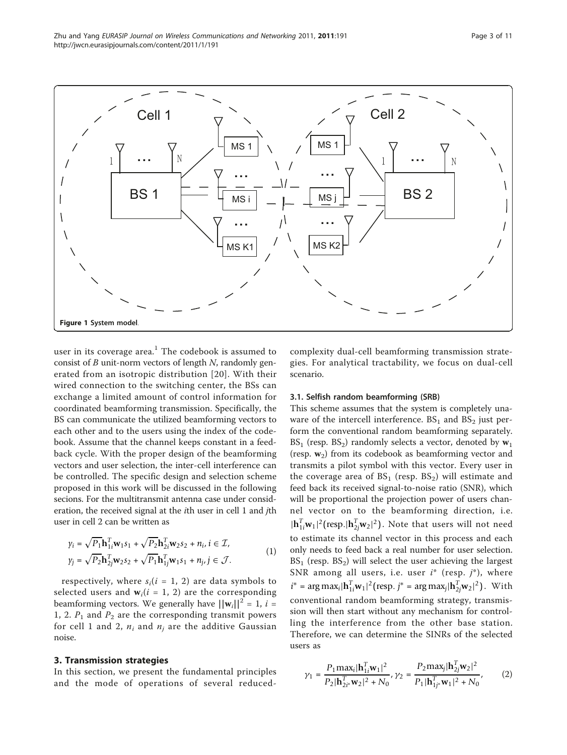<span id="page-2-0"></span>

user in its coverage area.<sup>1</sup> The codebook is assumed to consist of  $B$  unit-norm vectors of length  $N$ , randomly generated from an isotropic distribution [[20\]](#page-10-0). With their wired connection to the switching center, the BSs can exchange a limited amount of control information for coordinated beamforming transmission. Specifically, the BS can communicate the utilized beamforming vectors to each other and to the users using the index of the codebook. Assume that the channel keeps constant in a feedback cycle. With the proper design of the beamforming vectors and user selection, the inter-cell interference can be controlled. The specific design and selection scheme proposed in this work will be discussed in the following secions. For the multitransmit antenna case under consideration, the received signal at the ith user in cell 1 and jth user in cell 2 can be written as

$$
\gamma_i = \sqrt{P_1} \mathbf{h}_{1i}^T \mathbf{w}_1 s_1 + \sqrt{P_2} \mathbf{h}_{2i}^T \mathbf{w}_2 s_2 + n_i, i \in \mathcal{I},
$$
  
\n
$$
\gamma_j = \sqrt{P_2} \mathbf{h}_{2j}^T \mathbf{w}_2 s_2 + \sqrt{P_1} \mathbf{h}_{1j}^T \mathbf{w}_1 s_1 + n_j, j \in \mathcal{J}.
$$
\n(1)

respectively, where  $s_i(i = 1, 2)$  are data symbols to selected users and  $w_i(i = 1, 2)$  are the corresponding beamforming vectors. We generally have  $||\mathbf{w}_i||^2 = 1$ ,  $i =$ 1, 2.  $P_1$  and  $P_2$  are the corresponding transmit powers for cell 1 and 2,  $n_i$  and  $n_j$  are the additive Gaussian noise.

#### 3. Transmission strategies

In this section, we present the fundamental principles and the mode of operations of several reducedcomplexity dual-cell beamforming transmission strategies. For analytical tractability, we focus on dual-cell scenario.

#### 3.1. Selfish random beamforming (SRB)

This scheme assumes that the system is completely unaware of the intercell interference.  $BS_1$  and  $BS_2$  just perform the conventional random beamforming separately.  $BS_1$  (resp.  $BS_2$ ) randomly selects a vector, denoted by  $w_1$ (resp.  $w_2$ ) from its codebook as beamforming vector and transmits a pilot symbol with this vector. Every user in the coverage area of  $BS_1$  (resp.  $BS_2$ ) will estimate and feed back its received signal-to-noise ratio (SNR), which will be proportional the projection power of users channel vector on to the beamforming direction, i.e.  $|\mathbf{h}_{1i}^T \mathbf{w}_1|^2$ (resp. $|\mathbf{h}_{2j}^T \mathbf{w}_2|^2$ ). Note that users will not need to estimate its channel vector in this process and each only needs to feed back a real number for user selection.  $BS<sub>1</sub>$  (resp.  $BS<sub>2</sub>$ ) will select the user achieving the largest SNR among all users, i.e. user  $i^*$  (resp.  $j^*$ ), where  $i^* = \arg \max_i |\mathbf{h}_{1i}^T \mathbf{w}_1|^2(\text{resp. } j^* = \arg \max_j |\mathbf{h}_{2j}^T \mathbf{w}_2|^2).$  With conventional random beamforming strategy, transmission will then start without any mechanism for controlling the interference from the other base station. Therefore, we can determine the SINRs of the selected users as

$$
\gamma_1 = \frac{P_1 \max_i |\mathbf{h}_{1i}^T \mathbf{w}_1|^2}{P_2 |\mathbf{h}_{2i^*}^T \mathbf{w}_2|^2 + N_0}, \gamma_2 = \frac{P_2 \max_j |\mathbf{h}_{2j}^T \mathbf{w}_2|^2}{P_1 |\mathbf{h}_{1j^*}^T \mathbf{w}_1|^2 + N_0},
$$
(2)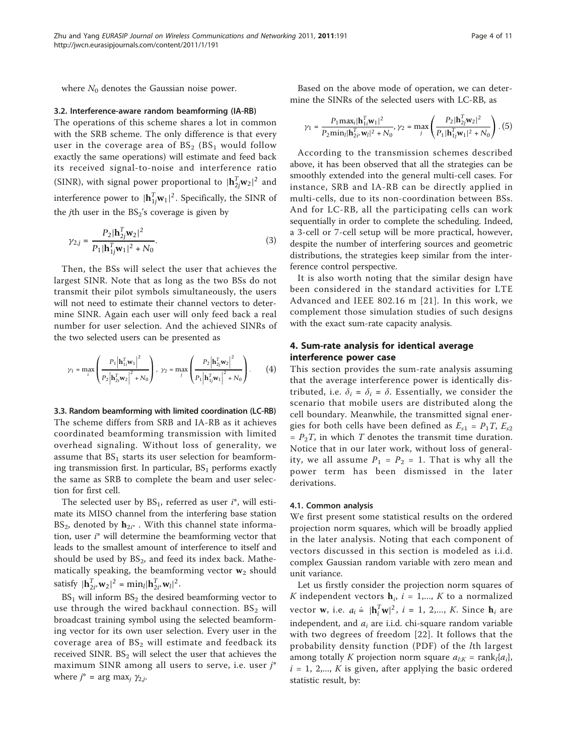where  $N_0$  denotes the Gaussian noise power.

#### 3.2. Interference-aware random beamforming (IA-RB)

The operations of this scheme shares a lot in common with the SRB scheme. The only difference is that every user in the coverage area of  $BS_2$  ( $BS_1$  would follow exactly the same operations) will estimate and feed back its received signal-to-noise and interference ratio (SINR), with signal power proportional to  $|\mathbf{h}_{2j}^T \mathbf{w}_2|^2$  and interference power to  $|\mathbf{h}_{1j}^T \mathbf{w}_1|^2$ . Specifically, the SINR of the *j*th user in the  $BS_2$ 's coverage is given by

$$
\gamma_{2,j} = \frac{P_2 |\mathbf{h}_{2j}^{\mathrm{T}} \mathbf{w}_2|^2}{P_1 |\mathbf{h}_{1j}^{\mathrm{T}} \mathbf{w}_1|^2 + N_0}.
$$
\n(3)

Then, the BSs will select the user that achieves the largest SINR. Note that as long as the two BSs do not transmit their pilot symbols simultaneously, the users will not need to estimate their channel vectors to determine SINR. Again each user will only feed back a real number for user selection. And the achieved SINRs of the two selected users can be presented as

$$
\gamma_1 = \max_i \left( \frac{P_1 \left| \mathbf{h}_{1i}^T \mathbf{w}_1 \right|^2}{P_2 \left| \mathbf{h}_{2i}^T \mathbf{w}_2 \right|^2 + N_0} \right), \ \gamma_2 = \max_j \left( \frac{P_2 \left| \mathbf{h}_{2j}^T \mathbf{w}_2 \right|^2}{P_1 \left| \mathbf{h}_{1j}^T \mathbf{w}_1 \right|^2 + N_0} \right). \tag{4}
$$

3.3. Random beamforming with limited coordination (LC-RB) The scheme differs from SRB and IA-RB as it achieves coordinated beamforming transmission with limited overhead signaling. Without loss of generality, we assume that  $BS<sub>1</sub>$  starts its user selection for beamforming transmission first. In particular,  $BS<sub>1</sub>$  performs exactly the same as SRB to complete the beam and user selection for first cell.

The selected user by  $BS_1$ , referred as user  $i^*$ , will estimate its MISO channel from the interfering base station  $BS_2$ , denoted by  $h_{2i^*}$ . With this channel state information, user  $i^*$  will determine the beamforming vector that leads to the smallest amount of interference to itself and should be used by  $BS_2$ , and feed its index back. Mathematically speaking, the beamforming vector  $w_2$  should satisfy  $|\mathbf{h}_{2i^*}^T \mathbf{w}_2|^2 = \min_l |\mathbf{h}_{2i^*}^T \mathbf{w}_l|^2$ .

 $BS<sub>1</sub>$  will inform  $BS<sub>2</sub>$  the desired beamforming vector to use through the wired backhaul connection.  $BS<sub>2</sub>$  will broadcast training symbol using the selected beamforming vector for its own user selection. Every user in the coverage area of  $BS_2$  will estimate and feedback its received SINR.  $BS<sub>2</sub>$  will select the user that achieves the maximum SINR among all users to serve, i.e. user  $j^*$ where  $j^*$  = arg max<sub>i</sub>  $\gamma_{2,i}$ .

Based on the above mode of operation, we can determine the SINRs of the selected users with LC-RB, as

$$
\gamma_1 = \frac{P_1 \max_i |\mathbf{h}_{1i}^T \mathbf{w}_1|^2}{P_2 \min_i |\mathbf{h}_{2i}^T \mathbf{w}_i|^2 + N_0}, \gamma_2 = \max_j \left( \frac{P_2 |\mathbf{h}_{2j}^T \mathbf{w}_2|^2}{P_1 |\mathbf{h}_{1j}^T \mathbf{w}_1|^2 + N_0} \right). (5)
$$

According to the transmission schemes described above, it has been observed that all the strategies can be smoothly extended into the general multi-cell cases. For instance, SRB and IA-RB can be directly applied in multi-cells, due to its non-coordination between BSs. And for LC-RB, all the participating cells can work sequentially in order to complete the scheduling. Indeed, a 3-cell or 7-cell setup will be more practical, however, despite the number of interfering sources and geometric distributions, the strategies keep similar from the interference control perspective.

It is also worth noting that the similar design have been considered in the standard activities for LTE Advanced and IEEE 802.16 m [[21\]](#page-10-0). In this work, we complement those simulation studies of such designs with the exact sum-rate capacity analysis.

## 4. Sum-rate analysis for identical average interference power case

This section provides the sum-rate analysis assuming that the average interference power is identically distributed, i.e.  $\delta_i = \delta_i = \delta$ . Essentially, we consider the scenario that mobile users are distributed along the cell boundary. Meanwhile, the transmitted signal energies for both cells have been defined as  $E_{s1} = P_1T$ ,  $E_{s2}$  $= P_2T$ , in which T denotes the transmit time duration. Notice that in our later work, without loss of generality, we all assume  $P_1 = P_2 = 1$ . That is why all the power term has been dismissed in the later derivations.

#### 4.1. Common analysis

We first present some statistical results on the ordered projection norm squares, which will be broadly applied in the later analysis. Noting that each component of vectors discussed in this section is modeled as i.i.d. complex Gaussian random variable with zero mean and unit variance.

Let us firstly consider the projection norm squares of K independent vectors  $h_i$ ,  $i = 1,..., K$  to a normalized vector **w**, i.e.  $a_i = |\mathbf{h}_i^T \mathbf{w}|^2$ ,  $i = 1, 2,..., K$ . Since  $\mathbf{h}_i$  are independent, and  $a_i$  are i.i.d. chi-square random variable with two degrees of freedom [[22](#page-10-0)]. It follows that the probability density function (PDF) of the lth largest among totally K projection norm square  $a_{l:K} = \text{rank}_{l} \{a_{i}\},$  $i = 1, 2,..., K$  is given, after applying the basic ordered statistic result, by: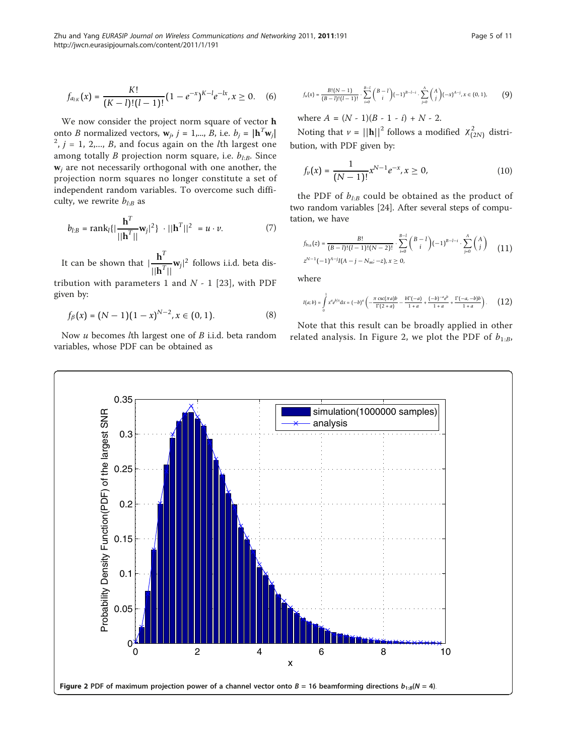$$
f_{a_{kK}}(x) = \frac{K!}{(K-l)!(l-1)!}(1-e^{-x})^{K-l}e^{-lx}, x \ge 0.
$$
 (6)

We now consider the project norm square of vector h onto *B* normalized vectors,  $\mathbf{w}_i$ ,  $j = 1,..., B$ , i.e.  $b_j = |\mathbf{h}^T \mathbf{w}_j|$  $2^2$ ,  $j = 1, 2,..., B$ , and focus again on the *l*th largest one among totally B projection norm square, i.e.  $b_{LB}$ . Since  $w_i$  are not necessarily orthogonal with one another, the projection norm squares no longer constitute a set of independent random variables. To overcome such difficulty, we rewrite  $b_{l:B}$  as

$$
b_{l:B} = \text{rank}_{l} \{ |\frac{\mathbf{h}^{T}}{||\mathbf{h}^{T}||} \mathbf{w}_{j}|^{2} \} \cdot ||\mathbf{h}^{T}||^{2} = u \cdot v. \tag{7}
$$

It can be shown that |  $h^T$  $\frac{\mathbf{n}}{\|\mathbf{h}^T\|}$  **w**<sub>*j*</sub><sup>|2</sup> follows i.i.d. beta dis-

tribution with parameters 1 and  $N - 1$  [\[23\]](#page-10-0), with PDF given by:

$$
f_{\beta}(x) = (N-1)(1-x)^{N-2}, x \in (0,1).
$$
 (8)

Now  $u$  becomes  $l$ th largest one of  $B$  i.i.d. beta random variables, whose PDF can be obtained as

$$
f_u(x) = \frac{B!(N-1)}{(B-l)!(l-1)!} \cdot \sum_{i=0}^{B-l} {B-l \choose i} (-1)^{B-l-i} \cdot \sum_{j=0}^{A} {A \choose j} (-x)^{A-j}, x \in (0,1),
$$
 (9)

where  $A = (N - 1)(B - 1 - i) + N - 2$ .

Noting that  $v = ||\mathbf{h}||^2$  follows a modified  $\chi^2_{(2N)}$  distribution, with PDF given by:

$$
f_{\nu}(x) = \frac{1}{(N-1)!} x^{N-1} e^{-x}, x \ge 0,
$$
 (10)

the PDF of  $b_{l:B}$  could be obtained as the product of two random variables [\[24](#page-10-0)]. After several steps of computation, we have

$$
f_{b_{l:b}}(z) = \frac{B!}{(B-l)!(l-1)!(N-2)!} \cdot \sum_{i=0}^{B-l} {B-l \choose i} (-1)^{B-l-i} \cdot \sum_{j=0}^{A} {A \choose j} \qquad (11)
$$
  

$$
z^{N-1}(-1)^{A-j}I(A-j-N_m;-z), x \ge 0,
$$

where

$$
I(a;b) = \int_{0}^{1} x^{a} e^{b/x} dx = (-b)^{a} \left( -\frac{\pi \csc(\pi a)b}{\Gamma(2+a)} - \frac{b\Gamma(-a)}{1+a} + \frac{(-b)^{-a} e^{b}}{1+a} + \frac{\Gamma(-a,-b)b}{1+a} \right). \tag{12}
$$

Note that this result can be broadly applied in other related analysis. In Figure 2, we plot the PDF of  $b_{1:B}$ ,

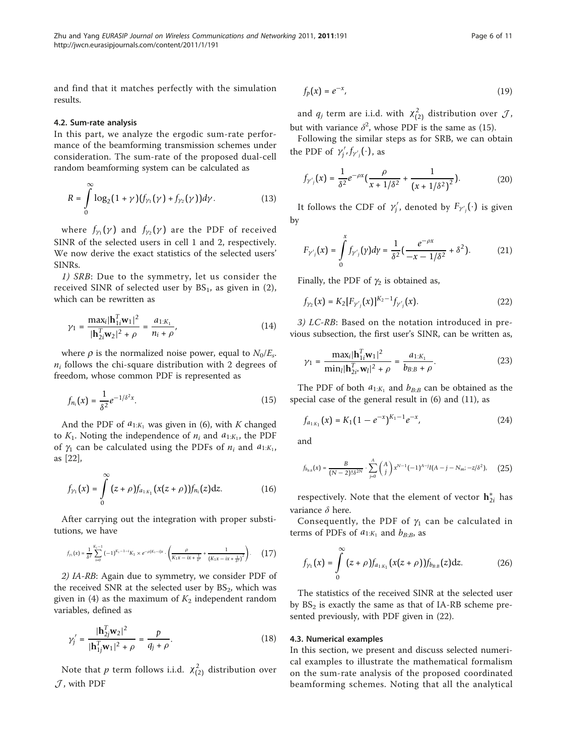and find that it matches perfectly with the simulation results.

#### 4.2. Sum-rate analysis

In this part, we analyze the ergodic sum-rate performance of the beamforming transmission schemes under consideration. The sum-rate of the proposed dual-cell random beamforming system can be calculated as

$$
R = \int_{0}^{\infty} \log_2(1+\gamma) (f_{\gamma_1}(\gamma) + f_{\gamma_2}(\gamma)) d\gamma.
$$
 (13)

where  $f_{\gamma_1}(\gamma)$  and  $f_{\gamma_2}(\gamma)$  are the PDF of received SINR of the selected users in cell 1 and 2, respectively. We now derive the exact statistics of the selected users' SINRs.

1) SRB: Due to the symmetry, let us consider the received SINR of selected user by  $BS<sub>1</sub>$ , as given in (2), which can be rewritten as

$$
\gamma_1 = \frac{\max_i |\mathbf{h}_{1i}^T \mathbf{w}_1|^2}{|\mathbf{h}_{2i}^T \mathbf{w}_2|^2 + \rho} = \frac{a_{1:K_1}}{n_i + \rho},
$$
(14)

where  $\rho$  is the normalized noise power, equal to  $N_0/E_s$ .  $n_i$  follows the chi-square distribution with 2 degrees of freedom, whose common PDF is represented as

$$
f_{n_i}(x) = \frac{1}{\delta^2} e^{-1/\delta^2 x}.
$$
 (15)

And the PDF of  $a_{1:K_1}$  was given in (6), with K changed to  $K_1$ . Noting the independence of  $n_i$  and  $a_{1:K_1}$ , the PDF of  $\gamma_1$  can be calculated using the PDFs of  $n_i$  and  $a_{1:K_1}$ , as [\[22\]](#page-10-0),

$$
f_{\gamma_1}(x) = \int_{0}^{\infty} (z+\rho) f_{a_{1:K_1}}(x(z+\rho)) f_{n_i}(z) dz.
$$
 (16)

After carrying out the integration with proper substitutions, we have

$$
f_{\gamma_1}(x) = \frac{1}{\delta^2} \sum_{i=0}^{K_1-1} \left(-1\right)^{K_1-1-i} K_1 \times e^{-\rho(K_1-i)x} \cdot \left(\frac{\rho}{K_1 x-ix+\frac{1}{\delta^2}}+\frac{1}{\left(K_1 x-ix+\frac{1}{\delta^2}\right)^2}\right). \tag{17}
$$

2) IA-RB: Again due to symmetry, we consider PDF of the received SNR at the selected user by  $BS_2$ , which was given in (4) as the maximum of  $K_2$  independent random variables, defined as

$$
\gamma_j' = \frac{|\mathbf{h}_{2j}^T \mathbf{w}_2|^2}{|\mathbf{h}_{1j}^T \mathbf{w}_1|^2 + \rho} = \frac{p}{q_j + \rho}.
$$
 (18)

Note that  $p$  term follows i.i.d.  $\chi^2_{(2)}$  distribution over *J* , with PDF

$$
f_p(x) = e^{-x},\tag{19}
$$

and  $q_j$  term are i.i.d. with  $\chi^2_{(2)}$  distribution over  $\mathcal{J}$ , but with variance  $\delta^2$ , whose PDF is the same as (15).

Following the similar steps as for SRB, we can obtain the PDF of  $\gamma'_j$ ,  $f_{\gamma'_j}(\cdot)$ , as

$$
f_{\gamma'_{j}}(x) = \frac{1}{\delta^{2}} e^{-\rho x} \left( \frac{\rho}{x + 1/\delta^{2}} + \frac{1}{\left(x + 1/\delta^{2}\right)^{2}} \right).
$$
 (20)

It follows the CDF of  $\gamma'_j$ , denoted by  $F_{\gamma'_j}(\cdot)$  is given by

$$
F_{\gamma'_{j}}(x) = \int_{0}^{x} f_{\gamma'_{j}}(\gamma) d\gamma = \frac{1}{\delta^{2}} \left( \frac{e^{-\rho x}}{-x - 1/\delta^{2}} + \delta^{2} \right). \tag{21}
$$

Finally, the PDF of  $\gamma_2$  is obtained as,

$$
f_{\gamma_2}(x) = K_2[F_{\gamma_j'}(x)]^{K_2 - 1} f_{\gamma_j'}(x). \tag{22}
$$

3) LC-RB: Based on the notation introduced in previous subsection, the first user's SINR, can be written as,

$$
\gamma_1 = \frac{\max_i |\mathbf{h}_{1i}^T \mathbf{w}_1|^2}{\min_i |\mathbf{h}_{2i^*}^T \mathbf{w}_i|^2 + \rho} = \frac{a_{1:K_1}}{b_{B:B} + \rho}.
$$
 (23)

The PDF of both  $a_{1:K_1}$  and  $b_{B:B}$  can be obtained as the special case of the general result in (6) and (11), as

$$
f_{a_{1:K_1}}(x) = K_1(1 - e^{-x})^{K_1 - 1} e^{-x}, \tag{24}
$$

and

$$
f_{b_{BB}}(x) = \frac{B}{(N-2)! \delta^{2N}} \cdot \sum_{j=0}^{A} {A \choose j} x^{N-1} (-1)^{A-j} I(A-j - N_m; -z/\delta^2), \quad (25)
$$

respectively. Note that the element of vector **h**∗ <sup>2</sup>*<sup>i</sup>* has variance  $\delta$  here.

Consequently, the PDF of  $\gamma_1$  can be calculated in terms of PDFs of  $a_{1:K_1}$  and  $b_{B:B}$ , as

$$
f_{\gamma_1}(x) = \int_{0}^{\infty} (z+\rho) f_{a_{1:K_1}}(x(z+\rho)) f_{b_{B:B}}(z) dz.
$$
 (26)

The statistics of the received SINR at the selected user by  $BS_2$  is exactly the same as that of IA-RB scheme presented previously, with PDF given in (22).

#### 4.3. Numerical examples

In this section, we present and discuss selected numerical examples to illustrate the mathematical formalism on the sum-rate analysis of the proposed coordinated beamforming schemes. Noting that all the analytical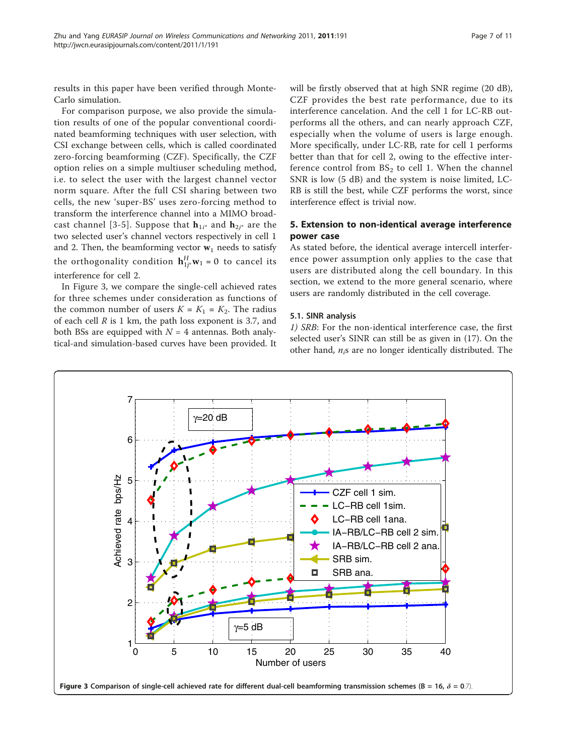results in this paper have been verified through Monte-Carlo simulation.

For comparison purpose, we also provide the simulation results of one of the popular conventional coordinated beamforming techniques with user selection, with CSI exchange between cells, which is called coordinated zero-forcing beamforming (CZF). Specifically, the CZF option relies on a simple multiuser scheduling method, i.e. to select the user with the largest channel vector norm square. After the full CSI sharing between two cells, the new 'super-BS' uses zero-forcing method to transform the interference channel into a MIMO broad-cast channel [\[3-5\]](#page-10-0). Suppose that  $\mathbf{h}_{1i^*}$  and  $\mathbf{h}_{2i^*}$  are the two selected user's channel vectors respectively in cell 1 and 2. Then, the beamforming vector  $w_1$  needs to satisfy the orthogonality condition  $\mathbf{h}_{1j^*}^H \mathbf{w}_1 = 0$  to cancel its interference for cell 2.

In Figure 3, we compare the single-cell achieved rates for three schemes under consideration as functions of the common number of users  $K = K_1 = K_2$ . The radius of each cell  $R$  is 1 km, the path loss exponent is 3.7, and both BSs are equipped with  $N = 4$  antennas. Both analytical-and simulation-based curves have been provided. It will be firstly observed that at high SNR regime (20 dB), CZF provides the best rate performance, due to its interference cancelation. And the cell 1 for LC-RB outperforms all the others, and can nearly approach CZF, especially when the volume of users is large enough. More specifically, under LC-RB, rate for cell 1 performs better than that for cell 2, owing to the effective interference control from  $BS_2$  to cell 1. When the channel SNR is low (5 dB) and the system is noise limited, LC-RB is still the best, while CZF performs the worst, since interference effect is trivial now.

## 5. Extension to non-identical average interference power case

As stated before, the identical average intercell interference power assumption only applies to the case that users are distributed along the cell boundary. In this section, we extend to the more general scenario, where users are randomly distributed in the cell coverage.

## 5.1. SINR analysis

1) SRB: For the non-identical interference case, the first selected user's SINR can still be as given in (17). On the other hand,  $n_i$ s are no longer identically distributed. The

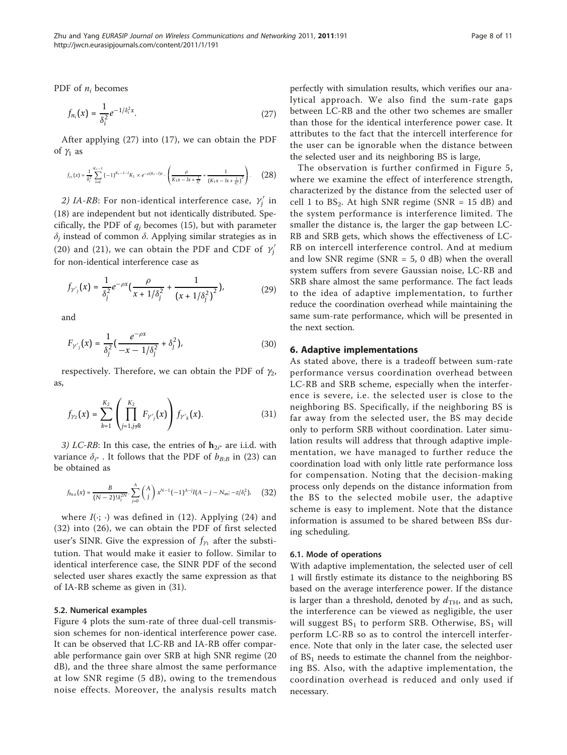PDF of  $n_i$  becomes

$$
f_{n_i}(x) = \frac{1}{\delta_i^2} e^{-1/\delta_i^2 x}.
$$
 (27)

After applying (27) into (17), we can obtain the PDF of  $\gamma_1$  as

$$
f_{\gamma_1}(x) = \frac{1}{\delta_i^2} \sum_{l=0}^{K_i-1} (-1)^{K_i-1-l} K_1 \times e^{-\rho(K_i-l)x} \cdot \left( \frac{\rho}{K_1 x - l x + \frac{1}{\delta_i^2}} + \frac{1}{\left(K_1 x - l x + \frac{1}{\delta_i^2}\right)^2} \right). \tag{28}
$$

2) IA-RB: For non-identical interference case,  $\gamma'_j$  in (18) are independent but not identically distributed. Specifically, the PDF of  $q_i$  becomes (15), but with parameter  $\delta_i$  instead of common  $\delta$ . Applying similar strategies as in (20) and (21), we can obtain the PDF and CDF of  $\gamma_j'$ for non-identical interference case as

$$
f_{\gamma'_{j}}(x) = \frac{1}{\delta_{j}^{2}} e^{-\rho x} \left( \frac{\rho}{x + 1/\delta_{j}^{2}} + \frac{1}{\left(x + 1/\delta_{j}^{2}\right)^{2}} \right),
$$
 (29)

and

$$
F_{\gamma'_{j}}(x) = \frac{1}{\delta_{j}^{2}} \left( \frac{e^{-\rho x}}{-x - 1/\delta_{j}^{2}} + \delta_{j}^{2} \right),
$$
 (30)

respectively. Therefore, we can obtain the PDF of  $\gamma_2$ , as,

$$
f_{\gamma_2}(x) = \sum_{k=1}^{K_2} \left( \prod_{j=1, j \neq k}^{K_2} F_{\gamma'_j}(x) \right) f_{\gamma'_k}(x).
$$
 (31)

3) LC-RB: In this case, the entries of  $\mathbf{h}_{2i^*}$  are i.i.d. with variance  $\delta_{i^*}$ . It follows that the PDF of  $b_{B:B}$  in (23) can be obtained as

$$
f_{b_{BB}}(x) = \frac{B}{(N-2)! \delta_i^{2N}} \cdot \sum_{j=0}^{A} {A \choose j} x^{N-1} (-1)^{A-j} I(A-j - N_m; -z/\delta_i^2), \quad (32)
$$

where  $I(\cdot; \cdot)$  was defined in (12). Applying (24) and (32) into (26), we can obtain the PDF of first selected user's SINR. Give the expression of  $f_{\gamma_1}$  after the substitution. That would make it easier to follow. Similar to identical interference case, the SINR PDF of the second selected user shares exactly the same expression as that of IA-RB scheme as given in (31).

#### 5.2. Numerical examples

Figure [4](#page-8-0) plots the sum-rate of three dual-cell transmission schemes for non-identical interference power case. It can be observed that LC-RB and IA-RB offer comparable performance gain over SRB at high SNR regime (20 dB), and the three share almost the same performance at low SNR regime (5 dB), owing to the tremendous noise effects. Moreover, the analysis results match perfectly with simulation results, which verifies our analytical approach. We also find the sum-rate gaps between LC-RB and the other two schemes are smaller than those for the identical interference power case. It attributes to the fact that the intercell interference for the user can be ignorable when the distance between the selected user and its neighboring BS is large,

The observation is further confirmed in Figure [5](#page-9-0), where we examine the effect of interference strength, characterized by the distance from the selected user of cell 1 to  $BS_2$ . At high SNR regime (SNR = 15 dB) and the system performance is interference limited. The smaller the distance is, the larger the gap between LC-RB and SRB gets, which shows the effectiveness of LC-RB on intercell interference control. And at medium and low SNR regime (SNR  $=$  5, 0 dB) when the overall system suffers from severe Gaussian noise, LC-RB and SRB share almost the same performance. The fact leads to the idea of adaptive implementation, to further reduce the coordination overhead while maintaining the same sum-rate performance, which will be presented in the next section.

### 6. Adaptive implementations

As stated above, there is a tradeoff between sum-rate performance versus coordination overhead between LC-RB and SRB scheme, especially when the interference is severe, i.e. the selected user is close to the neighboring BS. Specifically, if the neighboring BS is far away from the selected user, the BS may decide only to perform SRB without coordination. Later simulation results will address that through adaptive implementation, we have managed to further reduce the coordination load with only little rate performance loss for compensation. Noting that the decision-making process only depends on the distance information from the BS to the selected mobile user, the adaptive scheme is easy to implement. Note that the distance information is assumed to be shared between BSs during scheduling.

#### 6.1. Mode of operations

With adaptive implementation, the selected user of cell 1 will firstly estimate its distance to the neighboring BS based on the average interference power. If the distance is larger than a threshold, denoted by  $d_{TH}$ , and as such, the interference can be viewed as negligible, the user will suggest  $BS_1$  to perform SRB. Otherwise,  $BS_1$  will perform LC-RB so as to control the intercell interference. Note that only in the later case, the selected user of  $BS<sub>1</sub>$  needs to estimate the channel from the neighboring BS. Also, with the adaptive implementation, the coordination overhead is reduced and only used if necessary.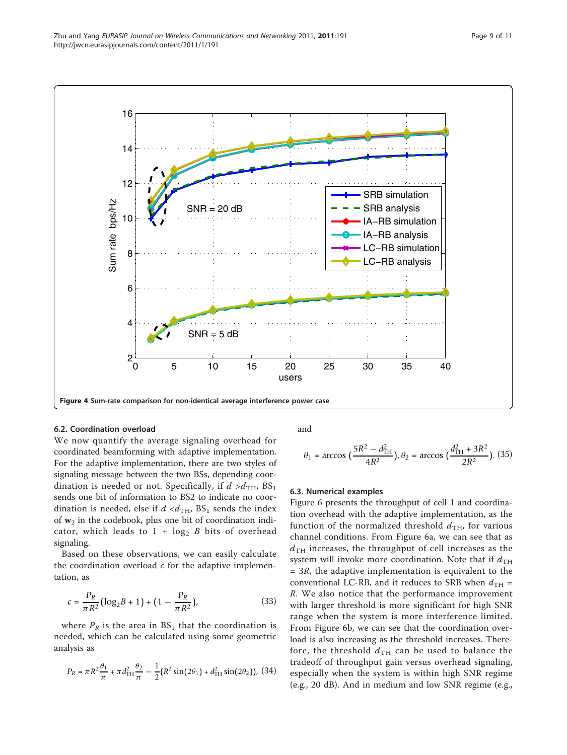<span id="page-8-0"></span>

#### 6.2. Coordination overload

We now quantify the average signaling overhead for coordinated beamforming with adaptive implementation. For the adaptive implementation, there are two styles of signaling message between the two BSs, depending coordination is needed or not. Specifically, if  $d > d$ <sub>TH</sub>, BS<sub>1</sub> sends one bit of information to BS2 to indicate no coordination is needed, else if  $d < d$ <sub>TH</sub>,  $BS_1$  sends the index of  $w_2$  in the codebook, plus one bit of coordination indicator, which leads to  $1 + \log_2 B$  bits of overhead signaling.

Based on these observations, we can easily calculate the coordination overload  $c$  for the adaptive implementation, as

$$
c = \frac{P_R}{\pi R^2} \left( \log_2 B + 1 \right) + \left( 1 - \frac{P_R}{\pi R^2} \right),\tag{33}
$$

where  $P_R$  is the area in  $BS_1$  that the coordination is needed, which can be calculated using some geometric analysis as

$$
P_R = \pi R^2 \frac{\theta_1}{\pi} + \pi d_{\text{TH}}^2 \frac{\theta_2}{\pi} - \frac{1}{2} (R^2 \sin(2\theta_1) + d_{\text{TH}}^2 \sin(2\theta_2)), \ (34)
$$

and

$$
\theta_1 = \arccos\big(\frac{5R^2 - d_{\text{TH}}^2}{4R^2}\big), \theta_2 = \arccos\big(\frac{d_{\text{TH}}^2 + 3R^2}{2R^2}\big). \tag{35}
$$

#### 6.3. Numerical examples

Figure [6](#page-9-0) presents the throughput of cell 1 and coordination overhead with the adaptive implementation, as the function of the normalized threshold  $d_{TH}$ , for various channel conditions. From Figure [6a,](#page-9-0) we can see that as  $d_{TH}$  increases, the throughput of cell increases as the system will invoke more coordination. Note that if  $d_{TH}$  $= 3R$ , the adaptive implementation is equivalent to the conventional LC-RB, and it reduces to SRB when  $d_{TH}$  = R. We also notice that the performance improvement with larger threshold is more significant for high SNR range when the system is more interference limited. From Figure [6b](#page-9-0), we can see that the coordination overload is also increasing as the threshold increases. Therefore, the threshold  $d_{TH}$  can be used to balance the tradeoff of throughput gain versus overhead signaling, especially when the system is within high SNR regime (e.g., 20 dB). And in medium and low SNR regime (e.g.,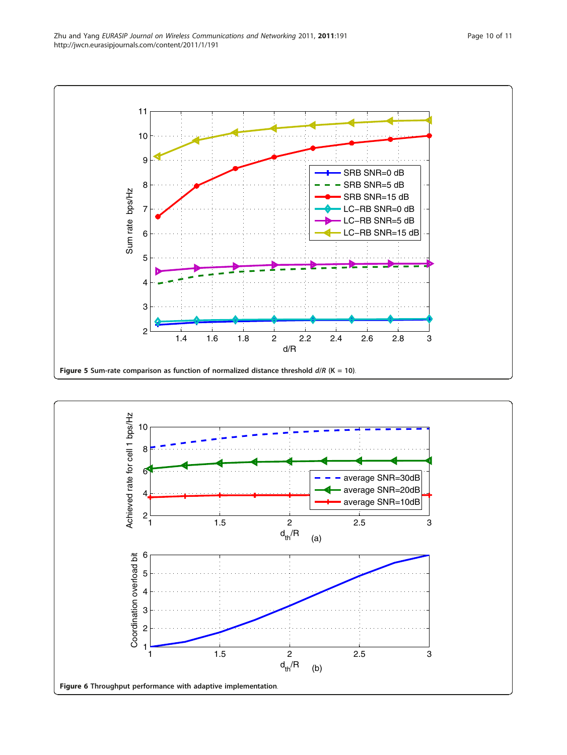<span id="page-9-0"></span>